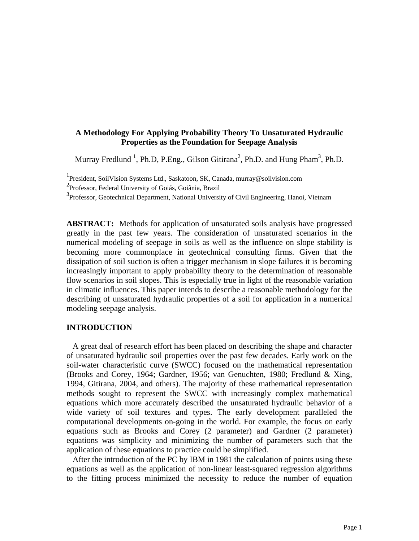# **A Methodology For Applying Probability Theory To Unsaturated Hydraulic Properties as the Foundation for Seepage Analysis**

Murray Fredlund<sup>1</sup>, Ph.D, P.Eng., Gilson Gitirana<sup>2</sup>, Ph.D. and Hung Pham<sup>3</sup>, Ph.D.

<sup>1</sup> President, SoilVision Systems Ltd., Saskatoon, SK, Canada, murray@soilvision.com 2 Professor, Federal University of Goiás, Goiânia, Brazil

<sup>3</sup> Professor, Geotechnical Department, National University of Civil Engineering, Hanoi, Vietnam

**ABSTRACT:** Methods for application of unsaturated soils analysis have progressed greatly in the past few years. The consideration of unsaturated scenarios in the numerical modeling of seepage in soils as well as the influence on slope stability is becoming more commonplace in geotechnical consulting firms. Given that the dissipation of soil suction is often a trigger mechanism in slope failures it is becoming increasingly important to apply probability theory to the determination of reasonable flow scenarios in soil slopes. This is especially true in light of the reasonable variation in climatic influences. This paper intends to describe a reasonable methodology for the describing of unsaturated hydraulic properties of a soil for application in a numerical modeling seepage analysis.

## **INTRODUCTION**

 A great deal of research effort has been placed on describing the shape and character of unsaturated hydraulic soil properties over the past few decades. Early work on the soil-water characteristic curve (SWCC) focused on the mathematical representation (Brooks and Corey, 1964; Gardner, 1956; van Genuchten, 1980; Fredlund & Xing, 1994, Gitirana, 2004, and others). The majority of these mathematical representation methods sought to represent the SWCC with increasingly complex mathematical equations which more accurately described the unsaturated hydraulic behavior of a wide variety of soil textures and types. The early development paralleled the computational developments on-going in the world. For example, the focus on early equations such as Brooks and Corey (2 parameter) and Gardner (2 parameter) equations was simplicity and minimizing the number of parameters such that the application of these equations to practice could be simplified.

 After the introduction of the PC by IBM in 1981 the calculation of points using these equations as well as the application of non-linear least-squared regression algorithms to the fitting process minimized the necessity to reduce the number of equation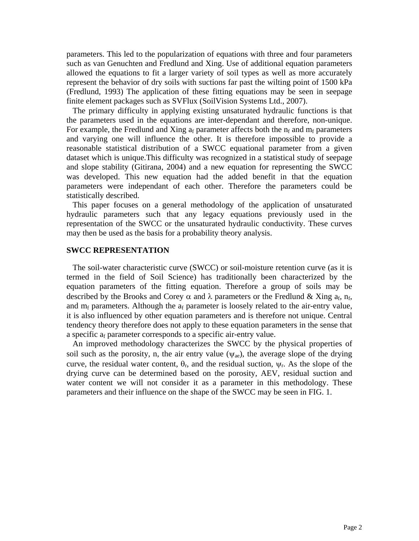parameters. This led to the popularization of equations with three and four parameters such as van Genuchten and Fredlund and Xing. Use of additional equation parameters allowed the equations to fit a larger variety of soil types as well as more accurately represent the behavior of dry soils with suctions far past the wilting point of 1500 kPa (Fredlund, 1993) The application of these fitting equations may be seen in seepage finite element packages such as SVFlux (SoilVision Systems Ltd., 2007).

 The primary difficulty in applying existing unsaturated hydraulic functions is that the parameters used in the equations are inter-dependant and therefore, non-unique. For example, the Fredlund and Xing  $a_f$  parameter affects both the  $n_f$  and  $m_f$  parameters and varying one will influence the other. It is therefore impossible to provide a reasonable statistical distribution of a SWCC equational parameter from a given dataset which is unique.This difficulty was recognized in a statistical study of seepage and slope stability (Gitirana, 2004) and a new equation for representing the SWCC was developed. This new equation had the added benefit in that the equation parameters were independant of each other. Therefore the parameters could be statistically described.

 This paper focuses on a general methodology of the application of unsaturated hydraulic parameters such that any legacy equations previously used in the representation of the SWCC or the unsaturated hydraulic conductivity. These curves may then be used as the basis for a probability theory analysis.

#### **SWCC REPRESENTATION**

 The soil-water characteristic curve (SWCC) or soil-moisture retention curve (as it is termed in the field of Soil Science) has traditionally been characterized by the equation parameters of the fitting equation. Therefore a group of soils may be described by the Brooks and Corey  $\alpha$  and  $\lambda$  parameters or the Fredlund & Xing  $a_f$ ,  $n_f$ , and  $m_f$  parameters. Although the  $a_f$  parameter is loosely related to the air-entry value, it is also influenced by other equation parameters and is therefore not unique. Central tendency theory therefore does not apply to these equation parameters in the sense that a specific af parameter corresponds to a specific air-entry value.

 An improved methodology characterizes the SWCC by the physical properties of soil such as the porosity, n, the air entry value ( $\psi_{ae}$ ), the average slope of the drying curve, the residual water content,  $\theta_r$ , and the residual suction,  $\psi_r$ . As the slope of the drying curve can be determined based on the porosity, AEV, residual suction and water content we will not consider it as a parameter in this methodology. These parameters and their influence on the shape of the SWCC may be seen in FIG. 1.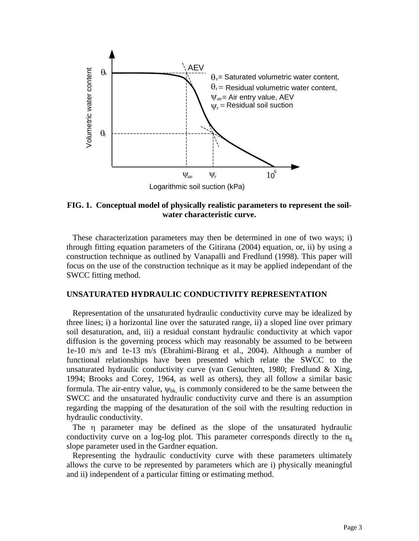

## **FIG. 1. Conceptual model of physically realistic parameters to represent the soilwater characteristic curve.**

 These characterization parameters may then be determined in one of two ways; i) through fitting equation parameters of the Gitirana (2004) equation, or, ii) by using a construction technique as outlined by Vanapalli and Fredlund (1998). This paper will focus on the use of the construction technique as it may be applied independant of the SWCC fitting method.

### **UNSATURATED HYDRAULIC CONDUCTIVITY REPRESENTATION**

 Representation of the unsaturated hydraulic conductivity curve may be idealized by three lines; i) a horizontal line over the saturated range, ii) a sloped line over primary soil desaturation, and, iii) a residual constant hydraulic conductivity at which vapor diffusion is the governing process which may reasonably be assumed to be between 1e-10 m/s and 1e-13 m/s (Ebrahimi-Birang et al., 2004). Although a number of functional relationships have been presented which relate the SWCC to the unsaturated hydraulic conductivity curve (van Genuchten, 1980; Fredlund & Xing, 1994; Brooks and Corey, 1964, as well as others), they all follow a similar basic formula. The air-entry value,  $\psi_{\text{bk}}$  is commonly considered to be the same between the SWCC and the unsaturated hydraulic conductivity curve and there is an assumption regarding the mapping of the desaturation of the soil with the resulting reduction in hydraulic conductivity.

 The η parameter may be defined as the slope of the unsaturated hydraulic conductivity curve on a log-log plot. This parameter corresponds directly to the n<sub>g</sub> slope parameter used in the Gardner equation.

 Representing the hydraulic conductivity curve with these parameters ultimately allows the curve to be represented by parameters which are i) physically meaningful and ii) independent of a particular fitting or estimating method.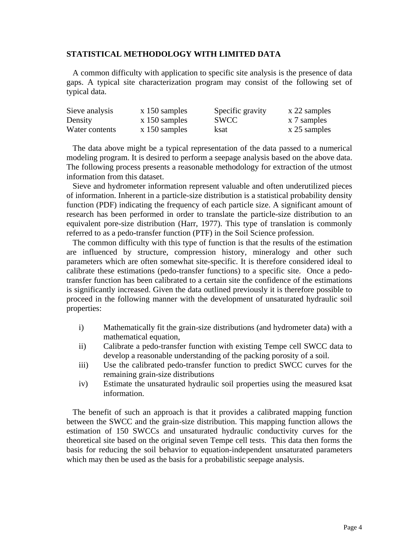## **STATISTICAL METHODOLOGY WITH LIMITED DATA**

 A common difficulty with application to specific site analysis is the presence of data gaps. A typical site characterization program may consist of the following set of typical data.

| Sieve analysis | $x$ 150 samples | Specific gravity | x 22 samples |
|----------------|-----------------|------------------|--------------|
| Density        | $x$ 150 samples | <b>SWCC</b>      | x 7 samples  |
| Water contents | $x$ 150 samples | ksat             | x 25 samples |

 The data above might be a typical representation of the data passed to a numerical modeling program. It is desired to perform a seepage analysis based on the above data. The following process presents a reasonable methodology for extraction of the utmost information from this dataset.

 Sieve and hydrometer information represent valuable and often underutilized pieces of information. Inherent in a particle-size distribution is a statistical probability density function (PDF) indicating the frequency of each particle size. A significant amount of research has been performed in order to translate the particle-size distribution to an equivalent pore-size distribution (Harr, 1977). This type of translation is commonly referred to as a pedo-transfer function (PTF) in the Soil Science profession.

 The common difficulty with this type of function is that the results of the estimation are influenced by structure, compression history, mineralogy and other such parameters which are often somewhat site-specific. It is therefore considered ideal to calibrate these estimations (pedo-transfer functions) to a specific site. Once a pedotransfer function has been calibrated to a certain site the confidence of the estimations is significantly increased. Given the data outlined previously it is therefore possible to proceed in the following manner with the development of unsaturated hydraulic soil properties:

- i) Mathematically fit the grain-size distributions (and hydrometer data) with a mathematical equation,
- ii) Calibrate a pedo-transfer function with existing Tempe cell SWCC data to develop a reasonable understanding of the packing porosity of a soil.
- iii) Use the calibrated pedo-transfer function to predict SWCC curves for the remaining grain-size distributions
- iv) Estimate the unsaturated hydraulic soil properties using the measured ksat information.

 The benefit of such an approach is that it provides a calibrated mapping function between the SWCC and the grain-size distribution. This mapping function allows the estimation of 150 SWCCs and unsaturated hydraulic conductivity curves for the theoretical site based on the original seven Tempe cell tests. This data then forms the basis for reducing the soil behavior to equation-independent unsaturated parameters which may then be used as the basis for a probabilistic seepage analysis.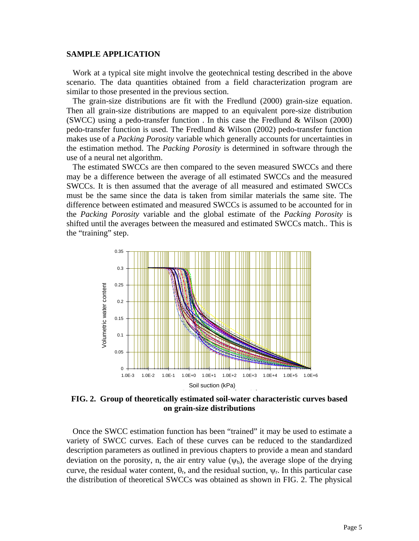### **SAMPLE APPLICATION**

 Work at a typical site might involve the geotechnical testing described in the above scenario. The data quantities obtained from a field characterization program are similar to those presented in the previous section.

 The grain-size distributions are fit with the Fredlund (2000) grain-size equation. Then all grain-size distributions are mapped to an equivalent pore-size distribution (SWCC) using a pedo-transfer function . In this case the Fredlund & Wilson (2000) pedo-transfer function is used. The Fredlund & Wilson (2002) pedo-transfer function makes use of a *Packing Porosity* variable which generally accounts for uncertainties in the estimation method. The *Packing Porosity* is determined in software through the use of a neural net algorithm.

 The estimated SWCCs are then compared to the seven measured SWCCs and there may be a difference between the average of all estimated SWCCs and the measured SWCCs. It is then assumed that the average of all measured and estimated SWCCs must be the same since the data is taken from similar materials the same site. The difference between estimated and measured SWCCs is assumed to be accounted for in the *Packing Porosity* variable and the global estimate of the *Packing Porosity* is shifted until the averages between the measured and estimated SWCCs match.. This is the "training" step.



**FIG. 2. Group of theoretically estimated soil-water characteristic curves based on grain-size distributions** 

 Once the SWCC estimation function has been "trained" it may be used to estimate a variety of SWCC curves. Each of these curves can be reduced to the standardized description parameters as outlined in previous chapters to provide a mean and standard deviation on the porosity, n, the air entry value  $(\psi_b)$ , the average slope of the drying curve, the residual water content,  $\theta_r$ , and the residual suction,  $\psi_r$ . In this particular case the distribution of theoretical SWCCs was obtained as shown in FIG. 2. The physical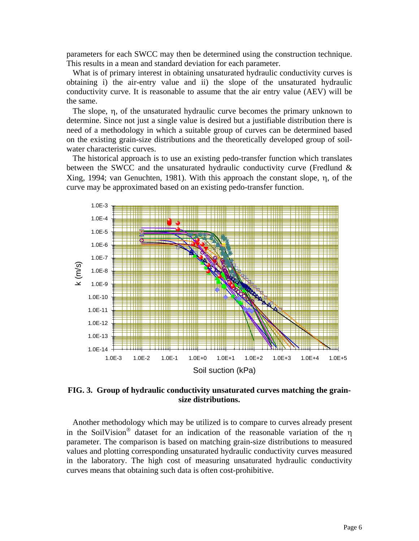parameters for each SWCC may then be determined using the construction technique. This results in a mean and standard deviation for each parameter.

 What is of primary interest in obtaining unsaturated hydraulic conductivity curves is obtaining i) the air-entry value and ii) the slope of the unsaturated hydraulic conductivity curve. It is reasonable to assume that the air entry value (AEV) will be the same.

 The slope, η, of the unsaturated hydraulic curve becomes the primary unknown to determine. Since not just a single value is desired but a justifiable distribution there is need of a methodology in which a suitable group of curves can be determined based on the existing grain-size distributions and the theoretically developed group of soilwater characteristic curves.

 The historical approach is to use an existing pedo-transfer function which translates between the SWCC and the unsaturated hydraulic conductivity curve (Fredlund & Xing, 1994; van Genuchten, 1981). With this approach the constant slope, η, of the curve may be approximated based on an existing pedo-transfer function.



**FIG. 3. Group of hydraulic conductivity unsaturated curves matching the grainsize distributions.** 

 Another methodology which may be utilized is to compare to curves already present in the SoilVision<sup>®</sup> dataset for an indication of the reasonable variation of the  $\eta$ parameter. The comparison is based on matching grain-size distributions to measured values and plotting corresponding unsaturated hydraulic conductivity curves measured in the laboratory. The high cost of measuring unsaturated hydraulic conductivity curves means that obtaining such data is often cost-prohibitive.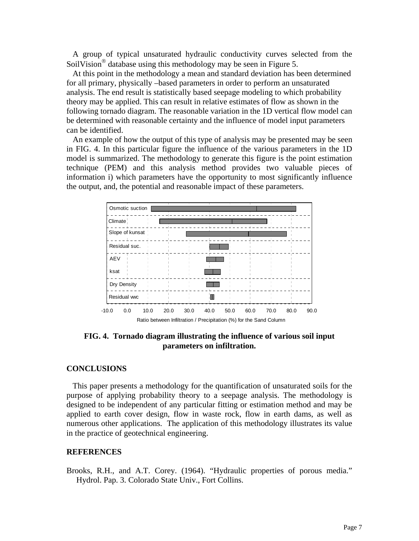A group of typical unsaturated hydraulic conductivity curves selected from the SoilVision® database using this methodology may be seen in Figure 5.

 At this point in the methodology a mean and standard deviation has been determined for all primary, physically –based parameters in order to perform an unsaturated analysis. The end result is statistically based seepage modeling to which probability theory may be applied. This can result in relative estimates of flow as shown in the following tornado diagram. The reasonable variation in the 1D vertical flow model can be determined with reasonable certainty and the influence of model input parameters can be identified.

 An example of how the output of this type of analysis may be presented may be seen in FIG. 4. In this particular figure the influence of the various parameters in the 1D model is summarized. The methodology to generate this figure is the point estimation technique (PEM) and this analysis method provides two valuable pieces of information i) which parameters have the opportunity to most significantly influence the output, and, the potential and reasonable impact of these parameters.



**FIG. 4. Tornado diagram illustrating the influence of various soil input parameters on infiltration.** 

### **CONCLUSIONS**

 This paper presents a methodology for the quantification of unsaturated soils for the purpose of applying probability theory to a seepage analysis. The methodology is designed to be independent of any particular fitting or estimation method and may be applied to earth cover design, flow in waste rock, flow in earth dams, as well as numerous other applications. The application of this methodology illustrates its value in the practice of geotechnical engineering.

### **REFERENCES**

Brooks, R.H., and A.T. Corey. (1964). "Hydraulic properties of porous media." Hydrol. Pap. 3. Colorado State Univ., Fort Collins.